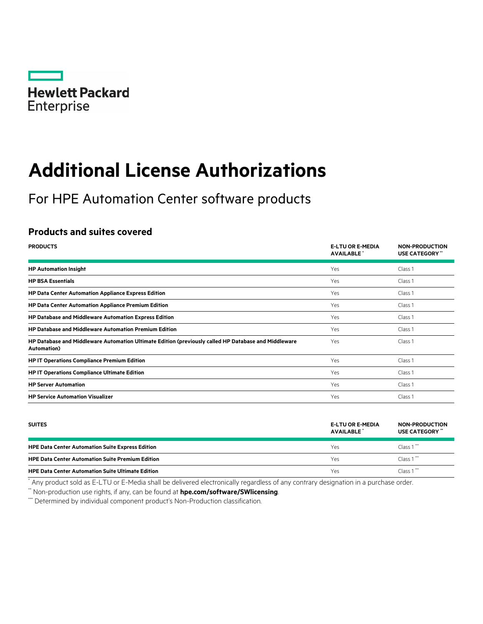

# **Additional License Authorizations**

For HPE Automation Center software products

# **Products and suites covered**

| <b>PRODUCTS</b>                                                                                                             | <b>E-LTU OR E-MEDIA</b><br><b>AVAILABLE</b> | <b>NON-PRODUCTION</b><br><b>USE CATEGORY</b> |
|-----------------------------------------------------------------------------------------------------------------------------|---------------------------------------------|----------------------------------------------|
| <b>HP Automation Insight</b>                                                                                                | Yes                                         | Class 1                                      |
| <b>HP BSA Essentials</b>                                                                                                    | Yes                                         | Class 1                                      |
| <b>HP Data Center Automation Appliance Express Edition</b>                                                                  | Yes                                         | Class 1                                      |
| <b>HP Data Center Automation Appliance Premium Edition</b>                                                                  | Yes                                         | Class 1                                      |
| <b>HP Database and Middleware Automation Express Edition</b>                                                                | Yes                                         | Class 1                                      |
| <b>HP Database and Middleware Automation Premium Edition</b>                                                                | Yes                                         | Class 1                                      |
| HP Database and Middleware Automation Ultimate Edition (previously called HP Database and Middleware<br><b>Automation</b> ) | Yes                                         | Class 1                                      |
| <b>HP IT Operations Compliance Premium Edition</b>                                                                          | Yes                                         | Class 1                                      |
| <b>HP IT Operations Compliance Ultimate Edition</b>                                                                         | Yes                                         | Class 1                                      |
| <b>HP Server Automation</b>                                                                                                 | Yes                                         | Class 1                                      |
| <b>HP Service Automation Visualizer</b>                                                                                     | Yes                                         | Class 1                                      |

| <b>SUITES</b>                                            | <b>E-LTU OR E-MEDIA</b><br>AVAILABLE <sup>*</sup> | <b>NON-PRODUCTION</b><br><b>USE CATEGORY</b> " |
|----------------------------------------------------------|---------------------------------------------------|------------------------------------------------|
| <b>HPE Data Center Automation Suite Express Edition</b>  | Yes                                               | Class $1$                                      |
| <b>HPE Data Center Automation Suite Premium Edition</b>  | Yes                                               | Class $1$                                      |
| <b>HPE Data Center Automation Suite Ultimate Edition</b> | Yes                                               | Class $1$                                      |

\* Any product sold as E-LTU or E-Media shall be delivered electronically regardless of any contrary designation in a purchase order.

\*\* Non-production use rights, if any, can be found at **[hpe.com/software/SWlicensing](http://www.hpe.com/software/SWlicensing)**.

\*\*\* Determined by individual component product's Non-Production classification.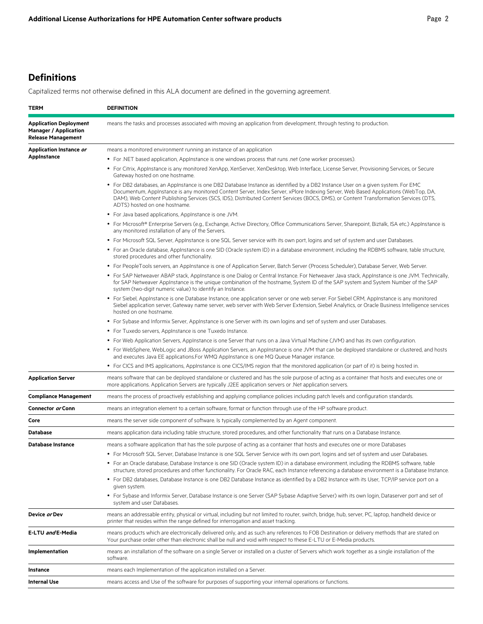# **Definitions**

Capitalized terms not otherwise defined in this ALA document are defined in the governing agreement.

| TERM                                                                                       | <b>DEFINITION</b>                                                                                                                                                                                                                                                                                                                                                                                                                               |  |
|--------------------------------------------------------------------------------------------|-------------------------------------------------------------------------------------------------------------------------------------------------------------------------------------------------------------------------------------------------------------------------------------------------------------------------------------------------------------------------------------------------------------------------------------------------|--|
| <b>Application Deployment</b><br><b>Manager / Application</b><br><b>Release Management</b> | means the tasks and processes associated with moving an application from development, through testing to production.                                                                                                                                                                                                                                                                                                                            |  |
| Application Instance or                                                                    | means a monitored environment running an instance of an application                                                                                                                                                                                                                                                                                                                                                                             |  |
| <b>AppInstance</b>                                                                         | • For .NET based application, Applnstance is one windows process that runs .net (one worker processes).                                                                                                                                                                                                                                                                                                                                         |  |
|                                                                                            | • For Citrix, AppInstance is any monitored XenApp, XenServer, XenDesktop, Web Interface, License Server, Provisioning Services, or Secure<br>Gateway hosted on one hostname.                                                                                                                                                                                                                                                                    |  |
|                                                                                            | • For DB2 databases, an AppInstance is one DB2 Database Instance as identified by a DB2 Instance User on a given system. For EMC<br>Documentum, Applnstance is any monitored Content Server, Index Server, xPlore Indexing Server, Web Based Applications (WebTop, DA,<br>DAM), Web Content Publishing Services (SCS, IDS), Distributed Content Services (BOCS, DMS), or Content Transformation Services (DTS,<br>ADTS) hosted on one hostname. |  |
|                                                                                            | • For Java based applications, AppInstance is one JVM.                                                                                                                                                                                                                                                                                                                                                                                          |  |
|                                                                                            | • For Microsoft® Enterprise Servers (e.g., Exchange, Active Directory, Office Communications Server, Sharepoint, Biztalk, ISA etc.) Applnstance is<br>any monitored installation of any of the Servers.                                                                                                                                                                                                                                         |  |
|                                                                                            | • For Microsoft SQL Server, AppInstance is one SQL Server service with its own port, logins and set of system and user Databases.                                                                                                                                                                                                                                                                                                               |  |
|                                                                                            | • For an Oracle database, AppInstance is one SID (Oracle system ID) in a database environment, including the RDBMS software, table structure,<br>stored procedures and other functionality.                                                                                                                                                                                                                                                     |  |
|                                                                                            | • For PeopleTools servers, an Applnstance is one of Application Server, Batch Server (Process Scheduler), Database Server, Web Server.                                                                                                                                                                                                                                                                                                          |  |
|                                                                                            | • For SAP Netweaver ABAP stack, AppInstance is one Dialog or Central Instance. For Netweaver Java stack, AppInstance is one JVM. Technically,<br>for SAP Netweaver Applnstance is the unique combination of the hostname, System ID of the SAP system and System Number of the SAP<br>system (two-digit numeric value) to identify an Instance.                                                                                                 |  |
|                                                                                            | • For Siebel, AppInstance is one Database Instance, one application server or one web server. For Siebel CRM, AppInstance is any monitored<br>Siebel application server, Gateway name server, web server with Web Server Extension, Siebel Analytics, or Oracle Business Intelligence services<br>hosted on one hostname.                                                                                                                       |  |
|                                                                                            | • For Sybase and Informix Server, AppInstance is one Server with its own logins and set of system and user Databases.                                                                                                                                                                                                                                                                                                                           |  |
|                                                                                            | • For Tuxedo servers, AppInstance is one Tuxedo Instance.                                                                                                                                                                                                                                                                                                                                                                                       |  |
|                                                                                            | • For Web Application Servers, Applnstance is one Server that runs on a Java Virtual Machine (JVM) and has its own configuration.                                                                                                                                                                                                                                                                                                               |  |
|                                                                                            | • For WebSphere, WebLogic and JBoss Application Servers, an Applnstance is one JVM that can be deployed standalone or clustered, and hosts<br>and executes Java EE applications. For WMQ Applnstance is one MQ Queue Manager instance.                                                                                                                                                                                                          |  |
|                                                                                            | • For CICS and IMS applications, Applnstance is one CICS/IMS region that the monitored application (or part of it) is being hosted in.                                                                                                                                                                                                                                                                                                          |  |
| <b>Application Server</b>                                                                  | means software that can be deployed standalone or clustered and has the sole purpose of acting as a container that hosts and executes one or<br>more applications. Application Servers are typically J2EE application servers or .Net application servers.                                                                                                                                                                                      |  |
| <b>Compliance Management</b>                                                               | means the process of proactively establishing and applying compliance policies including patch levels and configuration standards.                                                                                                                                                                                                                                                                                                              |  |
| Connector or Conn                                                                          | means an integration element to a certain software, format or function through use of the HP software product.                                                                                                                                                                                                                                                                                                                                  |  |
| Core                                                                                       | means the server side component of software. Is typically complemented by an Agent component.                                                                                                                                                                                                                                                                                                                                                   |  |
| Database                                                                                   | means application data including table structure, stored procedures, and other functionality that runs on a Database Instance.                                                                                                                                                                                                                                                                                                                  |  |
| <b>Database Instance</b>                                                                   | means a software application that has the sole purpose of acting as a container that hosts and executes one or more Databases                                                                                                                                                                                                                                                                                                                   |  |
|                                                                                            | • For Microsoft SQL Server, Database Instance is one SQL Server Service with its own port, logins and set of system and user Databases.                                                                                                                                                                                                                                                                                                         |  |
|                                                                                            | • For an Oracle database, Database Instance is one SID (Oracle system ID) in a database environment, including the RDBMS software, table<br>structure, stored procedures and other functionality. For Oracle RAC, each Instance referencing a database environment is a Database Instance.                                                                                                                                                      |  |
|                                                                                            | • For DB2 databases, Database Instance is one DB2 Database Instance as identified by a DB2 Instance with its User, TCP/IP service port on a<br>given system.                                                                                                                                                                                                                                                                                    |  |
|                                                                                            | • For Sybase and Informix Server, Database Instance is one Server (SAP Sybase Adaptive Server) with its own login, Dataserver port and set of<br>system and user Databases.                                                                                                                                                                                                                                                                     |  |
| Device or Dev                                                                              | means an addressable entity, physical or virtual, including but not limited to router, switch, bridge, hub, server, PC, laptop, handheld device or<br>printer that resides within the range defined for interrogation and asset tracking.                                                                                                                                                                                                       |  |
| E-LTU and E-Media                                                                          | means products which are electronically delivered only, and as such any references to FOB Destination or delivery methods that are stated on<br>Your purchase order other than electronic shall be null and void with respect to these E-LTU or E-Media products.                                                                                                                                                                               |  |
| Implementation                                                                             | means an installation of the software on a single Server or installed on a cluster of Servers which work together as a single installation of the<br>software.                                                                                                                                                                                                                                                                                  |  |
| Instance                                                                                   | means each Implementation of the application installed on a Server.                                                                                                                                                                                                                                                                                                                                                                             |  |
| <b>Internal Use</b>                                                                        | means access and Use of the software for purposes of supporting your internal operations or functions.                                                                                                                                                                                                                                                                                                                                          |  |
|                                                                                            |                                                                                                                                                                                                                                                                                                                                                                                                                                                 |  |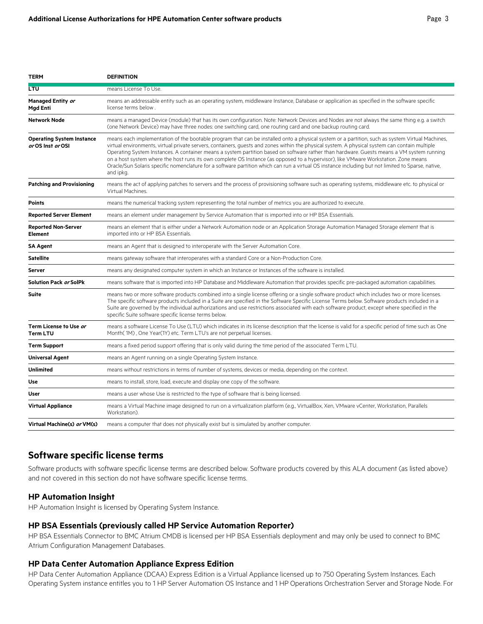**TERM DEFINITION**

| LTU                                                   | means License To Use.                                                                                                                                                                                                                                                                                                                                                                                                                                                                                                                                                                                                                                                                                                                                    |  |
|-------------------------------------------------------|----------------------------------------------------------------------------------------------------------------------------------------------------------------------------------------------------------------------------------------------------------------------------------------------------------------------------------------------------------------------------------------------------------------------------------------------------------------------------------------------------------------------------------------------------------------------------------------------------------------------------------------------------------------------------------------------------------------------------------------------------------|--|
| Managed Entity or<br>Mgd Enti                         | means an addressable entity such as an operating system, middleware Instance, Database or application as specified in the software specific<br>license terms below.                                                                                                                                                                                                                                                                                                                                                                                                                                                                                                                                                                                      |  |
| <b>Network Node</b>                                   | means a managed Device (module) that has its own configuration. Note: Network Devices and Nodes are not always the same thing e.g. a switch<br>(one Network Device) may have three nodes: one switching card, one routing card and one backup routing card.                                                                                                                                                                                                                                                                                                                                                                                                                                                                                              |  |
| <b>Operating System Instance</b><br>or OS Inst or OSI | means each implementation of the bootable program that can be installed onto a physical system or a partition, such as system Virtual Machines,<br>virtual environments, virtual private servers, containers, quests and zones within the physical system. A physical system can contain multiple<br>Operating System Instances. A container means a system partition based on software rather than hardware. Guests means a VM system running<br>on a host system where the host runs its own complete OS Instance (as opposed to a hypervisor), like VMware Workstation. Zone means<br>Oracle/Sun Solaris specific nomenclature for a software partition which can run a virtual OS instance including but not limited to Sparse, native,<br>and ipkg. |  |
| <b>Patching and Provisioning</b>                      | means the act of applying patches to servers and the process of provisioning software such as operating systems, middleware etc. to physical or<br>Virtual Machines.                                                                                                                                                                                                                                                                                                                                                                                                                                                                                                                                                                                     |  |
| <b>Points</b>                                         | means the numerical tracking system representing the total number of metrics you are authorized to execute.                                                                                                                                                                                                                                                                                                                                                                                                                                                                                                                                                                                                                                              |  |
| <b>Reported Server Element</b>                        | means an element under management by Service Automation that is imported into or HP BSA Essentials.                                                                                                                                                                                                                                                                                                                                                                                                                                                                                                                                                                                                                                                      |  |
| <b>Reported Non-Server</b><br><b>Element</b>          | means an element that is either under a Network Automation node or an Application Storage Automation Managed Storage element that is<br>imported into or HP BSA Essentials.                                                                                                                                                                                                                                                                                                                                                                                                                                                                                                                                                                              |  |
| <b>SA Agent</b>                                       | means an Agent that is designed to interoperate with the Server Automation Core.                                                                                                                                                                                                                                                                                                                                                                                                                                                                                                                                                                                                                                                                         |  |
| <b>Satellite</b>                                      | means gateway software that interoperates with a standard Core or a Non-Production Core.                                                                                                                                                                                                                                                                                                                                                                                                                                                                                                                                                                                                                                                                 |  |
| Server                                                | means any designated computer system in which an Instance or Instances of the software is installed.                                                                                                                                                                                                                                                                                                                                                                                                                                                                                                                                                                                                                                                     |  |
| Solution Pack <i>or</i> SolPk                         | means software that is imported into HP Database and Middleware Automation that provides specific pre-packaged automation capabilities.                                                                                                                                                                                                                                                                                                                                                                                                                                                                                                                                                                                                                  |  |
| <b>Suite</b>                                          | means two or more software products combined into a single license offering or a single software product which includes two or more licenses.<br>The specific software products included in a Suite are specified in the Software Specific License Terms below. Software products included in a<br>Suite are governed by the individual authorizations and use restrictions associated with each software product, except where specified in the<br>specific Suite software specific license terms below.                                                                                                                                                                                                                                                |  |
| Term License to Use or<br><b>Term LTU</b>             | means a software License To Use (LTU) which indicates in its license description that the license is valid for a specific period of time such as One<br>Month(1M), One Year(1Y) etc. Term LTU's are not perpetual licenses.                                                                                                                                                                                                                                                                                                                                                                                                                                                                                                                              |  |
| <b>Term Support</b>                                   | means a fixed period support offering that is only valid during the time period of the associated Term LTU.                                                                                                                                                                                                                                                                                                                                                                                                                                                                                                                                                                                                                                              |  |
| Universal Agent                                       | means an Agent running on a single Operating System Instance.                                                                                                                                                                                                                                                                                                                                                                                                                                                                                                                                                                                                                                                                                            |  |
| Unlimited                                             | means without restrictions in terms of number of systems, devices or media, depending on the context.                                                                                                                                                                                                                                                                                                                                                                                                                                                                                                                                                                                                                                                    |  |
| Use                                                   | means to install, store, load, execute and display one copy of the software.                                                                                                                                                                                                                                                                                                                                                                                                                                                                                                                                                                                                                                                                             |  |
| User                                                  | means a user whose Use is restricted to the type of software that is being licensed.                                                                                                                                                                                                                                                                                                                                                                                                                                                                                                                                                                                                                                                                     |  |
| <b>Virtual Appliance</b>                              | means a Virtual Machine image designed to run on a virtualization platform (e.g., VirtualBox, Xen, VMware vCenter, Workstation, Parallels<br>Workstation).                                                                                                                                                                                                                                                                                                                                                                                                                                                                                                                                                                                               |  |
| Virtual Machine(s) or VM(s)                           | means a computer that does not physically exist but is simulated by another computer.                                                                                                                                                                                                                                                                                                                                                                                                                                                                                                                                                                                                                                                                    |  |

## **Software specific license terms**

Software products with software specific license terms are described below. Software products covered by this ALA document (as listed above) and not covered in this section do not have software specific license terms.

#### **HP Automation Insight**

HP Automation Insight is licensed by Operating System Instance.

#### **HP BSA Essentials (previously called HP Service Automation Reporter)**

HP BSA Essentials Connector to BMC Atrium CMDB is licensed per HP BSA Essentials deployment and may only be used to connect to BMC Atrium Configuration Management Databases.

#### **HP Data Center Automation Appliance Express Edition**

HP Data Center Automation Appliance (DCAA) Express Edition is a Virtual Appliance licensed up to 750 Operating System Instances. Each Operating System instance entitles you to 1 HP Server Automation OS Instance and 1 HP Operations Orchestration Server and Storage Node. For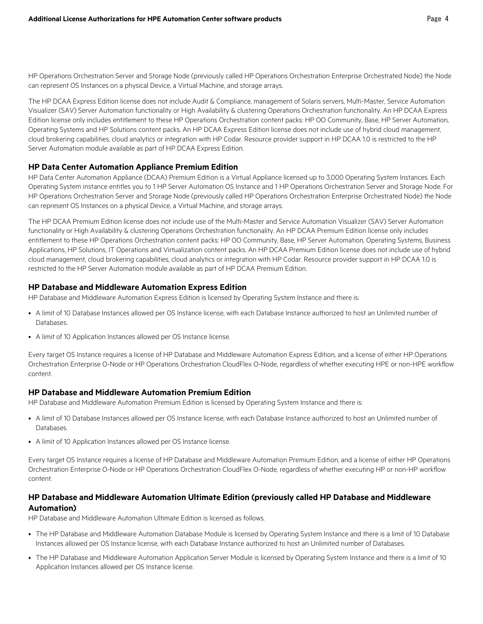HP Operations Orchestration Server and Storage Node (previously called HP Operations Orchestration Enterprise Orchestrated Node) the Node can represent OS Instances on a physical Device, a Virtual Machine, and storage arrays.

The HP DCAA Express Edition license does not include Audit & Compliance, management of Solaris servers, Multi-Master, Service Automation Visualizer (SAV) Server Automation functionality or High Availability & clustering Operations Orchestration functionality. An HP DCAA Express Edition license only includes entitlement to these HP Operations Orchestration content packs: HP OO Community, Base, HP Server Automation, Operating Systems and HP Solutions content packs. An HP DCAA Express Edition license does not include use of hybrid cloud management, cloud brokering capabilities, cloud analytics or integration with HP Codar. Resource provider support in HP DCAA 1.0 is restricted to the HP Server Automation module available as part of HP DCAA Express Edition.

#### **HP Data Center Automation Appliance Premium Edition**

HP Data Center Automation Appliance (DCAA) Premium Edition is a Virtual Appliance licensed up to 3,000 Operating System Instances. Each Operating System instance entitles you to 1 HP Server Automation OS Instance and 1 HP Operations Orchestration Server and Storage Node. For HP Operations Orchestration Server and Storage Node (previously called HP Operations Orchestration Enterprise Orchestrated Node) the Node can represent OS Instances on a physical Device, a Virtual Machine, and storage arrays.

The HP DCAA Premium Edition license does not include use of the Multi-Master and Service Automation Visualizer (SAV) Server Automation functionality or High Availability & clustering Operations Orchestration functionality. An HP DCAA Premium Edition license only includes entitlement to these HP Operations Orchestration content packs: HP OO Community, Base, HP Server Automation, Operating Systems, Business Applications, HP Solutions, IT Operations and Virtualization content packs. An HP DCAA Premium Edition license does not include use of hybrid cloud management, cloud brokering capabilities, cloud analytics or integration with HP Codar. Resource provider support in HP DCAA 1.0 is restricted to the HP Server Automation module available as part of HP DCAA Premium Edition.

#### **HP Database and Middleware Automation Express Edition**

HP Database and Middleware Automation Express Edition is licensed by Operating System Instance and there is:

- A limit of 10 Database Instances allowed per OS Instance license, with each Database Instance authorized to host an Unlimited number of Databases.
- A limit of 10 Application Instances allowed per OS Instance license.

Every target OS Instance requires a license of HP Database and Middleware Automation Express Edition, and a license of either HP Operations Orchestration Enterprise O-Node or HP Operations Orchestration CloudFlex O-Node, regardless of whether executing HPE or non-HPE workflow content.

#### **HP Database and Middleware Automation Premium Edition**

HP Database and Middleware Automation Premium Edition is licensed by Operating System Instance and there is:

- A limit of 10 Database Instances allowed per OS Instance license, with each Database Instance authorized to host an Unlimited number of **Databases**
- A limit of 10 Application Instances allowed per OS Instance license.

Every target OS Instance requires a license of HP Database and Middleware Automation Premium Edition, and a license of either HP Operations Orchestration Enterprise O-Node or HP Operations Orchestration CloudFlex O-Node, regardless of whether executing HP or non-HP workflow content.

## **HP Database and Middleware Automation Ultimate Edition (previously called HP Database and Middleware Automation)**

HP Database and Middleware Automation Ultimate Edition is licensed as follows.

- The HP Database and Middleware Automation Database Module is licensed by Operating System Instance and there is a limit of 10 Database Instances allowed per OS Instance license, with each Database Instance authorized to host an Unlimited number of Databases.
- The HP Database and Middleware Automation Application Server Module is licensed by Operating System Instance and there is a limit of 10 Application Instances allowed per OS Instance license.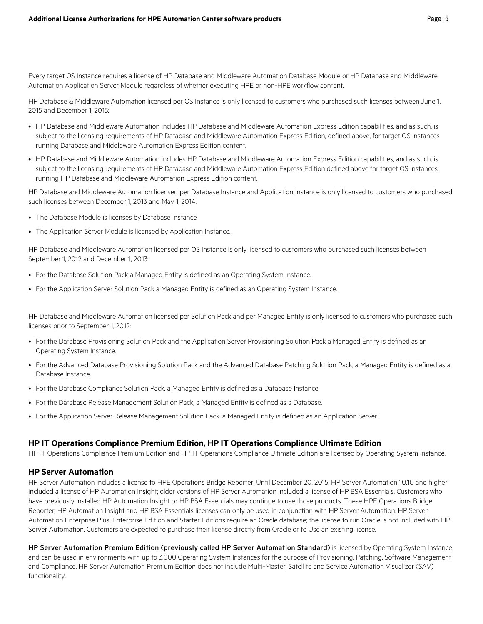Every target OS Instance requires a license of HP Database and Middleware Automation Database Module or HP Database and Middleware Automation Application Server Module regardless of whether executing HPE or non-HPE workflow content.

HP Database & Middleware Automation licensed per OS Instance is only licensed to customers who purchased such licenses between June 1, 2015 and December 1, 2015:

- HP Database and Middleware Automation includes HP Database and Middleware Automation Express Edition capabilities, and as such, is subject to the licensing requirements of HP Database and Middleware Automation Express Edition, defined above, for target OS instances running Database and Middleware Automation Express Edition content.
- HP Database and Middleware Automation includes HP Database and Middleware Automation Express Edition capabilities, and as such, is subject to the licensing requirements of HP Database and Middleware Automation Express Edition defined above for target OS Instances running HP Database and Middleware Automation Express Edition content.

HP Database and Middleware Automation licensed per Database Instance and Application Instance is only licensed to customers who purchased such licenses between December 1, 2013 and May 1, 2014:

- The Database Module is licenses by Database Instance
- The Application Server Module is licensed by Application Instance.

HP Database and Middleware Automation licensed per OS Instance is only licensed to customers who purchased such licenses between September 1, 2012 and December 1, 2013:

- For the Database Solution Pack a Managed Entity is defined as an Operating System Instance.
- For the Application Server Solution Pack a Managed Entity is defined as an Operating System Instance.

HP Database and Middleware Automation licensed per Solution Pack and per Managed Entity is only licensed to customers who purchased such licenses prior to September 1, 2012:

- For the Database Provisioning Solution Pack and the Application Server Provisioning Solution Pack a Managed Entity is defined as an Operating System Instance.
- For the Advanced Database Provisioning Solution Pack and the Advanced Database Patching Solution Pack, a Managed Entity is defined as a Database Instance.
- For the Database Compliance Solution Pack, a Managed Entity is defined as a Database Instance.
- For the Database Release Management Solution Pack, a Managed Entity is defined as a Database.
- For the Application Server Release Management Solution Pack, a Managed Entity is defined as an Application Server.

#### **HP IT Operations Compliance Premium Edition, HP IT Operations Compliance Ultimate Edition**

HP IT Operations Compliance Premium Edition and HP IT Operations Compliance Ultimate Edition are licensed by Operating System Instance.

#### **HP Server Automation**

HP Server Automation includes a license to HPE Operations Bridge Reporter. Until December 20, 2015, HP Server Automation 10.10 and higher included a license of HP Automation Insight; older versions of HP Server Automation included a license of HP BSA Essentials. Customers who have previously installed HP Automation Insight or HP BSA Essentials may continue to use those products. These HPE Operations Bridge Reporter, HP Automation Insight and HP BSA Essentials licenses can only be used in conjunction with HP Server Automation. HP Server Automation Enterprise Plus, Enterprise Edition and Starter Editions require an Oracle database; the license to run Oracle is not included with HP Server Automation. Customers are expected to purchase their license directly from Oracle or to Use an existing license.

HP Server Automation Premium Edition (previously called HP Server Automation Standard) is licensed by Operating System Instance and can be used in environments with up to 3,000 Operating System Instances for the purpose of Provisioning, Patching, Software Management and Compliance. HP Server Automation Premium Edition does not include Multi-Master, Satellite and Service Automation Visualizer (SAV) functionality.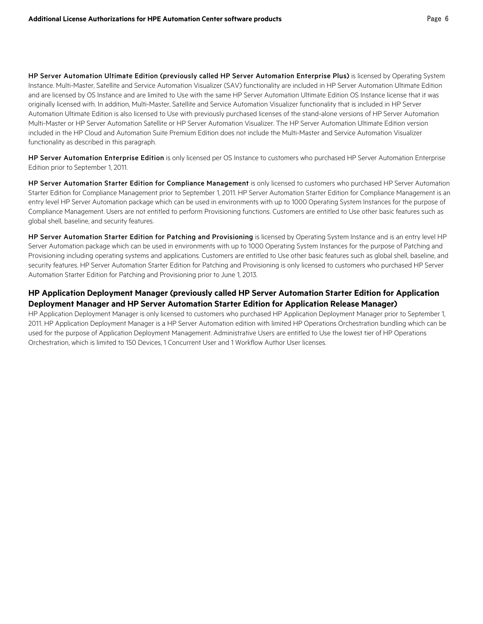HP Server Automation Ultimate Edition (previously called HP Server Automation Enterprise Plus) is licensed by Operating System Instance. Multi-Master, Satellite and Service Automation Visualizer (SAV) functionality are included in HP Server Automation Ultimate Edition and are licensed by OS Instance and are limited to Use with the same HP Server Automation Ultimate Edition OS Instance license that it was originally licensed with. In addition, Multi-Master, Satellite and Service Automation Visualizer functionality that is included in HP Server Automation Ultimate Edition is also licensed to Use with previously purchased licenses of the stand-alone versions of HP Server Automation Multi-Master or HP Server Automation Satellite or HP Server Automation Visualizer. The HP Server Automation Ultimate Edition version included in the HP Cloud and Automation Suite Premium Edition does not include the Multi-Master and Service Automation Visualizer functionality as described in this paragraph.

HP Server Automation Enterprise Edition is only licensed per OS Instance to customers who purchased HP Server Automation Enterprise Edition prior to September 1, 2011.

HP Server Automation Starter Edition for Compliance Management is only licensed to customers who purchased HP Server Automation Starter Edition for Compliance Management prior to September 1, 2011. HP Server Automation Starter Edition for Compliance Management is an entry level HP Server Automation package which can be used in environments with up to 1000 Operating System Instances for the purpose of Compliance Management. Users are not entitled to perform Provisioning functions. Customers are entitled to Use other basic features such as global shell, baseline, and security features.

HP Server Automation Starter Edition for Patching and Provisioning is licensed by Operating System Instance and is an entry level HP Server Automation package which can be used in environments with up to 1000 Operating System Instances for the purpose of Patching and Provisioning including operating systems and applications. Customers are entitled to Use other basic features such as global shell, baseline, and security features. HP Server Automation Starter Edition for Patching and Provisioning is only licensed to customers who purchased HP Server Automation Starter Edition for Patching and Provisioning prior to June 1, 2013.

# **HP Application Deployment Manager (previously called HP Server Automation Starter Edition for Application Deployment Manager and HP Server Automation Starter Edition for Application Release Manager)**

HP Application Deployment Manager is only licensed to customers who purchased HP Application Deployment Manager prior to September 1, 2011. HP Application Deployment Manager is a HP Server Automation edition with limited HP Operations Orchestration bundling which can be used for the purpose of Application Deployment Management. Administrative Users are entitled to Use the lowest tier of HP Operations Orchestration, which is limited to 150 Devices, 1 Concurrent User and 1 Workflow Author User licenses.